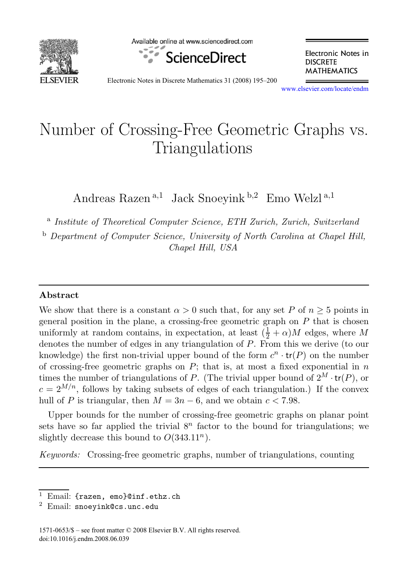

Available online at www.sciencedirect.com



Electronic Notes in **DISCRETE MATHEMATICS** 

Electronic Notes in Discrete Mathematics 31 (2008) 195–200

[www.elsevier.com/locate/endm](http://www.elsevier.com/locate/endm)

# Number of Crossing-Free Geometric Graphs vs.<br>Triangulations  $\overline{a}$

Andreas Razen<sup>a,1</sup> Jack Snoevink  $b$ ,2 Emo Welzl<sup>a,1</sup>

<sup>a</sup> Institute of Theoretical Computer Science, ETH Zurich, Zurich, Switzerland

<sup>b</sup> Department of Computer Science, University of North Carolina at Chapel Hill, Chapel Hill, USA

#### **Abstract**

We show that there is a constant  $\alpha > 0$  such that, for any set P of  $n \geq 5$  points in general position in the plane, a crossing-free geometric graph on  $P$  that is chosen uniformly at random contains, in expectation, at least  $(\frac{1}{2} + \alpha)M$  edges, where M denotes the number of edges in any triangulation of P. From this we derive (to our knowledge) the first non-trivial upper bound of the form  $c^n \cdot tr(P)$  on the number of crossing-free geometric graphs on  $P$ ; that is, at most a fixed exponential in  $n$ times the number of triangulations of P. (The trivial upper bound of  $2^M \cdot tr(P)$ , or  $c = 2^{M/n}$ , follows by taking subsets of edges of each triangulation.) If the convex hull of P is triangular, then  $M = 3n - 6$ , and we obtain  $c < 7.98$ .

Upper bounds for the number of crossing-free geometric graphs on planar point sets have so far applied the trivial  $8<sup>n</sup>$  factor to the bound for triangulations; we slightly decrease this bound to  $O(343.11^n)$ .

Keywords: Crossing-free geometric graphs, number of triangulations, counting

<sup>&</sup>lt;sup>1</sup> Email: {razen, emo}@inf.ethz.ch  $^2$  Email: snoeyink@cs.unc.edu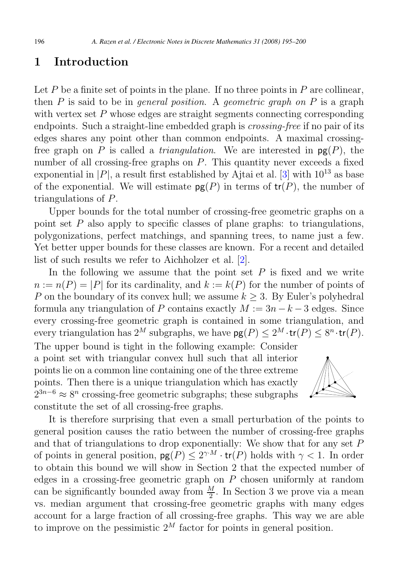### **1 Introduction**

Let  $P$  be a finite set of points in the plane. If no three points in  $P$  are collinear, then  $P$  is said to be in *general position*. A *geometric graph on*  $P$  is a graph with vertex set  $P$  whose edges are straight segments connecting corresponding endpoints. Such a straight-line embedded graph is *crossing-free* if no pair of its edges shares any point other than common endpoints. A maximal crossingfree graph on P is called a *triangulation*. We are interested in  $pg(P)$ , the number of all crossing-free graphs on  $P$ . This quantity never exceeds a fixed exponential in  $|P|$ , a result first established by Ajtai et al. [\[3\]](#page-5-0) with  $10^{13}$  as base of the exponential. We will estimate  $pg(P)$  in terms of  $tr(P)$ , the number of triangulations of P.

Upper bounds for the total number of crossing-free geometric graphs on a point set  $P$  also apply to specific classes of plane graphs: to triangulations, polygonizations, perfect matchings, and spanning trees, to name just a few. Yet better upper bounds for these classes are known. For a recent and detailed list of such results we refer to Aichholzer et al. [\[2\]](#page-5-0).

In the following we assume that the point set  $P$  is fixed and we write  $n := n(P) = |P|$  for its cardinality, and  $k := k(P)$  for the number of points of P on the boundary of its convex hull; we assume  $k > 3$ . By Euler's polyhedral formula any triangulation of P contains exactly  $M := 3n - k - 3$  edges. Since every crossing-free geometric graph is contained in some triangulation, and every triangulation has  $2^M$  subgraphs, we have  $pg(P) \leq 2^M \cdot tr(P) \leq 8^n \cdot tr(P)$ .

The upper bound is tight in the following example: Consider a point set with triangular convex hull such that all interior points lie on a common line containing one of the three extreme points. Then there is a unique triangulation which has exactly  $2^{3n-6} \approx 8^n$  crossing-free geometric subgraphs; these subgraphs constitute the set of all crossing-free graphs.



It is therefore surprising that even a small perturbation of the points to general position causes the ratio between the number of crossing-free graphs and that of triangulations to drop exponentially: We show that for any set P of points in general position,  $pg(P) \leq 2^{\gamma M} \cdot \text{tr}(P)$  holds with  $\gamma < 1$ . In order to obtain this bound we will show in Section 2 that the expected number of edges in a crossing-free geometric graph on  $P$  chosen uniformly at random can be significantly bounded away from  $\frac{M}{2}$ . In Section 3 we prove via a mean vs. median argument that crossing-free geometric graphs with many edges account for a large fraction of all crossing-free graphs. This way we are able to improve on the pessimistic  $2^M$  factor for points in general position.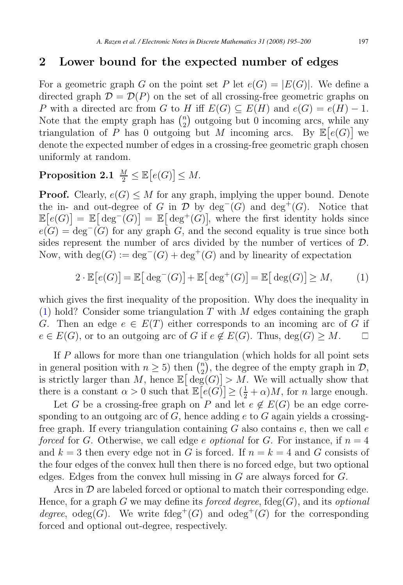### <span id="page-2-0"></span>**2 Lower bound for the expected number of edges**

For a geometric graph G on the point set P let  $e(G) = |E(G)|$ . We define a directed graph  $\mathcal{D} = \mathcal{D}(P)$  on the set of all crossing-free geometric graphs on P with a directed arc from G to H iff  $E(G) \subseteq E(H)$  and  $e(G) = e(H) - 1$ . Note that the empty graph has  $\binom{n}{2}$  $\binom{n}{2}$  outgoing but 0 incoming arcs, while any triangulation of P has 0 outgoing but M incoming arcs. By  $\mathbb{E}[e(G)]$  we denote the expected number of edges in a crossing-free geometric graph chosen uniformly at random.

# $\textbf{Proposition 2.1} \ \frac{M}{2} \leq \mathbb{E} \big[ e(G) \big] \leq M.$

**Proof.** Clearly,  $e(G) \leq M$  for any graph, implying the upper bound. Denote the in- and out-degree of G in  $\mathcal D$  by deg<sup>-</sup>(G) and deg<sup>+</sup>(G). Notice that  $\mathbb{E}[e(G)] = \mathbb{E}[\deg^+(G)] = \mathbb{E}[\deg^+(G)]$ , where the first identity holds since  $e(G) = \text{deg}^-(G)$  for any graph G, and the second equality is true since both sides represent the number of arcs divided by the number of vertices of D. Now, with  $deg(G) := deg^{-}(G) + deg^{+}(G)$  and by linearity of expectation

$$
2 \cdot \mathbb{E}\big[e(G)\big] = \mathbb{E}\big[\deg^-(G)\big] + \mathbb{E}\big[\deg^+(G)\big] = \mathbb{E}\big[\deg(G)\big] \ge M,\tag{1}
$$

which gives the first inequality of the proposition. Why does the inequality in (1) hold? Consider some triangulation T with M edges containing the graph G. Then an edge  $e \in E(T)$  either corresponds to an incoming arc of G if  $e \in E(G)$ , or to an outgoing arc of G if  $e \notin E(G)$ . Thus,  $\deg(G) \geq M$ .  $e \in E(G)$ , or to an outgoing arc of G if  $e \notin E(G)$ . Thus,  $deg(G) \geq M$ .

If P allows for more than one triangulation (which holds for all point sets in general position with  $n \geq 5$ ) then  $\binom{n}{2}$  $\binom{n}{2}$ , the degree of the empty graph in  $\mathcal{D}$ , is strictly larger than M, hence  $\mathbb{E}[\deg(G)] > M$ . We will actually show that there is a constant  $\alpha > 0$  such that  $\mathbb{E}\left[e(G)\right] \geq \left(\frac{1}{2} + \alpha\right)M$ , for *n* large enough.

Let G be a crossing-free graph on P and let  $e \notin E(G)$  be an edge corresponding to an outgoing arc of  $G$ , hence adding e to  $G$  again yields a crossingfree graph. If every triangulation containing  $G$  also contains  $e$ , then we call  $e$ forced for G. Otherwise, we call edge e optional for G. For instance, if  $n = 4$ and  $k = 3$  then every edge not in G is forced. If  $n = k = 4$  and G consists of the four edges of the convex hull then there is no forced edge, but two optional edges. Edges from the convex hull missing in G are always forced for G.

Arcs in  $\mathcal D$  are labeled forced or optional to match their corresponding edge. Hence, for a graph G we may define its *forced degree*,  $fdeg(G)$ , and its *optional* degree, odeg(G). We write fdeg<sup>+</sup>(G) and odeg<sup>+</sup>(G) for the corresponding forced and optional out-degree, respectively.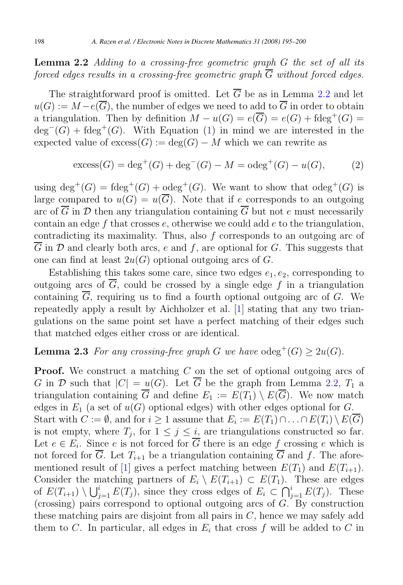<span id="page-3-0"></span>**Lemma 2.2** Adding to a crossing-free geometric graph G the set of all its forced edges results in a crossing-free geometric graph  $\overline{G}$  without forced edges.

The straightforward proof is omitted. Let  $\overline{G}$  be as in Lemma [2.2](#page-2-0) and let  $u(G) := M - e(\overline{G})$ , the number of edges we need to add to  $\overline{G}$  in order to obtain a triangulation. Then by definition  $M - u(G) = e(\overline{G}) = e(G) + \text{fdeg}^+(G) =$  $deg^{-}(G) + fdeg^{+}(G)$ . With Equation [\(1\)](#page-2-0) in mind we are interested in the expected value of  $excess(G) := deg(G) - M$  which we can rewrite as

excess
$$
(G) = \text{deg}^+(G) + \text{deg}^-(G) - M = \text{odeg}^+(G) - u(G),
$$
 (2)

using  $\text{deg}^+(G) = \text{fdeg}^+(G) + \text{odeg}^+(G)$ . We want to show that  $\text{odeg}^+(G)$  is large compared to  $u(G) = u(\overline{G})$ . Note that if e corresponds to an outgoing arc of  $\overline{G}$  in  $\mathcal D$  then any triangulation containing  $\overline{G}$  but not e must necessarily contain an edge f that crosses  $e$ , otherwise we could add  $e$  to the triangulation, contradicting its maximality. Thus, also f corresponds to an outgoing arc of G in  $\mathcal D$  and clearly both arcs, e and f, are optional for G. This suggests that one can find at least  $2u(G)$  optional outgoing arcs of G.

Establishing this takes some care, since two edges  $e_1, e_2$ , corresponding to outgoing arcs of  $\overline{G}$ , could be crossed by a single edge f in a triangulation containing  $\overline{G}$ , requiring us to find a fourth optional outgoing arc of G. We repeatedly apply a result by Aichholzer et al. [\[1\]](#page-5-0) stating that any two triangulations on the same point set have a perfect matching of their edges such that matched edges either cross or are identical.

### **Lemma 2.3** For any crossing-free graph G we have  $odeg^+(G) \ge 2u(G)$ .

**Proof.** We construct a matching C on the set of optional outgoing arcs of G in D such that  $|C| = u(G)$ . Let  $\overline{G}$  be the graph from Lemma [2.2,](#page-2-0)  $T_1$  a triangulation containing  $\overline{G}$  and define  $E_1 := E(T_1) \setminus E(\overline{G})$ . We now match edges in  $E_1$  (a set of  $u(G)$  optional edges) with other edges optional for G. Start with  $C := \emptyset$ , and for  $i \geq 1$  assume that  $E_i := E(T_1) \cap \ldots \cap E(T_i) \setminus E(G)$ is not empty, where  $T_j$ , for  $1 \leq j \leq i$ , are triangulations constructed so far. Let  $e \in E_i$ . Since e is not forced for  $\overline{G}$  there is an edge f crossing e which is not forced for  $\overline{G}$ . Let  $T_{i+1}$  be a triangulation containing  $\overline{G}$  and f. The afore-mentioned result of [\[1\]](#page-5-0) gives a perfect matching between  $E(T_1)$  and  $E(T_{i+1})$ . Consider the matching partners of  $E_i \setminus E(T_{i+1}) \subset E(T_1)$ . These are edges of  $E(T_{i+1}) \setminus \bigcup_{j=1}^{i} E(T_j)$ , since they cross edges of  $E_i \subset \bigcap_{j=1}^{i} E(T_j)$ . These (crossing) pairs correspond to optional outgoing arcs of  $G$ . By construction these matching pairs are disjoint from all pairs in  $C$ , hence we may safely add them to  $C$ . In particular, all edges in  $E_i$  that cross  $f$  will be added to  $C$  in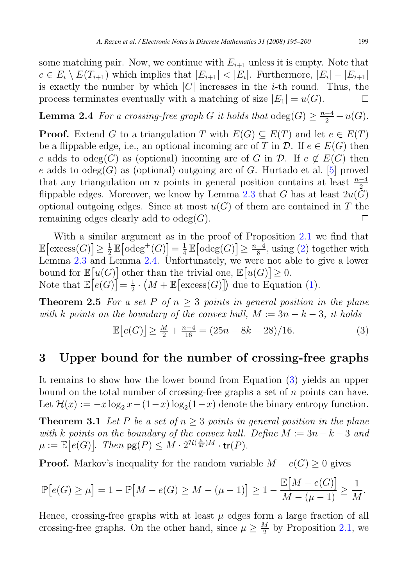<span id="page-4-0"></span>some matching pair. Now, we continue with  $E_{i+1}$  unless it is empty. Note that  $e \in E_i \setminus E(T_{i+1})$  which implies that  $|E_{i+1}| < |E_i|$ . Furthermore,  $|E_i| - |E_{i+1}|$ is exactly the number by which |C| increases in the *i*-th round. Thus, the process terminates eventually with a matching of size  $|E_1| = u(G)$ . process terminates eventually with a matching of size  $|E_1| = u(G)$ .

**Lemma 2.4** For a crossing-free graph G it holds that  $\text{odeg}(G) \geq \frac{n-4}{2} + u(G)$ .

**Proof.** Extend G to a triangulation T with  $E(G) \subseteq E(T)$  and let  $e \in E(T)$ be a flippable edge, i.e., an optional incoming arc of T in  $\mathcal{D}$ . If  $e \in E(G)$  then e adds to odeg(G) as (optional) incoming arc of G in  $\mathcal{D}$ . If  $e \notin E(G)$  then e adds to odeg(G) as (optional) outgoing arc of G. Hurtado et al. [\[5\]](#page-5-0) proved that any triangulation on *n* points in general position contains at least  $\frac{n-4}{2}$ flippable edges. Moreover, we know by Lemma [2.3](#page-3-0) that G has at least  $2u(G)$ optional outgoing edges. Since at most  $u(G)$  of them are contained in T the remaining edges clearly add to odeg $(G)$ .  $\Box$ 

With a similar argument as in the proof of Proposition [2.1](#page-2-0) we find that  $\mathbb{E}\left[\text{excess}(G)\right] \geq \frac{1}{2}\mathbb{E}\left[\text{odeg}^+(G)\right] = \frac{1}{4}\mathbb{E}\left[\text{odeg}(G)\right] \geq \frac{n-4}{8}, \text{using (2) together with}$  $\mathbb{E}\left[\text{excess}(G)\right] \geq \frac{1}{2}\mathbb{E}\left[\text{odeg}^+(G)\right] = \frac{1}{4}\mathbb{E}\left[\text{odeg}(G)\right] \geq \frac{n-4}{8}, \text{using (2) together with}$  $\mathbb{E}\left[\text{excess}(G)\right] \geq \frac{1}{2}\mathbb{E}\left[\text{odeg}^+(G)\right] = \frac{1}{4}\mathbb{E}\left[\text{odeg}(G)\right] \geq \frac{n-4}{8}, \text{using (2) together with}$ Lemma [2.3](#page-3-0) and Lemma 2.4. Unfortunately, we were not able to give a lower bound for  $\mathbb{E}[u(G)]$  other than the trivial one,  $\mathbb{E}[u(G)] \geq 0$ . Note that  $\mathbb{E}\big[e(G)\big]=\frac{1}{2}\cdot\big(M+\mathbb{E}\big[\text{excess}(G)\big]\big)$  due to Equation [\(1\)](#page-2-0).

**Theorem 2.5** For a set P of  $n \geq 3$  points in general position in the plane with k points on the boundary of the convex hull,  $M := 3n - k - 3$ , it holds

$$
\mathbb{E}\left[e(G)\right] \ge \frac{M}{2} + \frac{n-4}{16} = (25n - 8k - 28)/16. \tag{3}
$$

# **3 Upper bound for the number of crossing-free graphs**

It remains to show how the lower bound from Equation (3) yields an upper bound on the total number of crossing-free graphs a set of  $n$  points can have. Let  $\mathcal{H}(x) := -x \log_2 x - (1-x) \log_2(1-x)$  denote the binary entropy function.

**Theorem 3.1** Let P be a set of  $n \geq 3$  points in general position in the plane with k points on the boundary of the convex hull. Define  $M := 3n - k - 3$  and  $\mu := \mathbb{E}\big[e(G)\big].$  Then  $\mathsf{pg}(P) \leq M \cdot 2^{\mathcal{H}(\frac{\mu}{M})M} \cdot \mathsf{tr}(P).$ 

**Proof.** Markov's inequality for the random variable  $M - e(G) \geq 0$  gives

$$
\mathbb{P}[e(G) \ge \mu] = 1 - \mathbb{P}[M - e(G) \ge M - (\mu - 1)] \ge 1 - \frac{\mathbb{E}[M - e(G)]}{M - (\mu - 1)} \ge \frac{1}{M}.
$$

Hence, crossing-free graphs with at least  $\mu$  edges form a large fraction of all crossing-free graphs. On the other hand, since  $\mu \geq \frac{M}{2}$  by Proposition [2.1,](#page-2-0) we